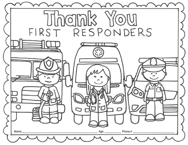